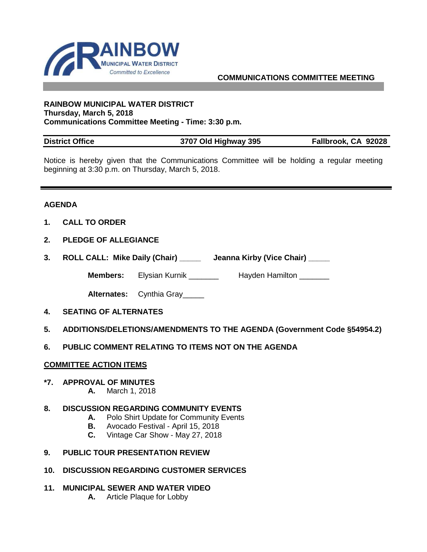

# **COMMUNICATIONS COMMITTEE MEETING**

#### **RAINBOW MUNICIPAL WATER DISTRICT Thursday, March 5, 2018 Communications Committee Meeting - Time: 3:30 p.m.**

| <b>District Office</b> | 3707 Old Highway 395 | Fallbrook, CA 92028 |
|------------------------|----------------------|---------------------|

Notice is hereby given that the Communications Committee will be holding a regular meeting beginning at 3:30 p.m. on Thursday, March 5, 2018.

## **AGENDA**

- **1. CALL TO ORDER**
- **2. PLEDGE OF ALLEGIANCE**
- **3. ROLL CALL: Mike Daily (Chair) \_\_\_\_\_ Jeanna Kirby (Vice Chair) \_\_\_\_\_**

**Members:** Elysian Kurnik \_\_\_\_\_\_\_\_ Hayden Hamilton \_\_\_\_\_\_\_

**Alternates:** Cynthia Gray\_\_\_\_\_

- **4. SEATING OF ALTERNATES**
- **5. ADDITIONS/DELETIONS/AMENDMENTS TO THE AGENDA (Government Code §54954.2)**
- **6. PUBLIC COMMENT RELATING TO ITEMS NOT ON THE AGENDA**

#### **COMMITTEE ACTION ITEMS**

#### **\*7. APPROVAL OF MINUTES**

**A.** March 1, 2018

## **8. DISCUSSION REGARDING COMMUNITY EVENTS**

- **A.** Polo Shirt Update for Community Events
- **B.** Avocado Festival April 15, 2018
- **C.** Vintage Car Show May 27, 2018
- **9. PUBLIC TOUR PRESENTATION REVIEW**
- **10. DISCUSSION REGARDING CUSTOMER SERVICES**
- **11. MUNICIPAL SEWER AND WATER VIDEO** 
	- **A.** Article Plaque for Lobby